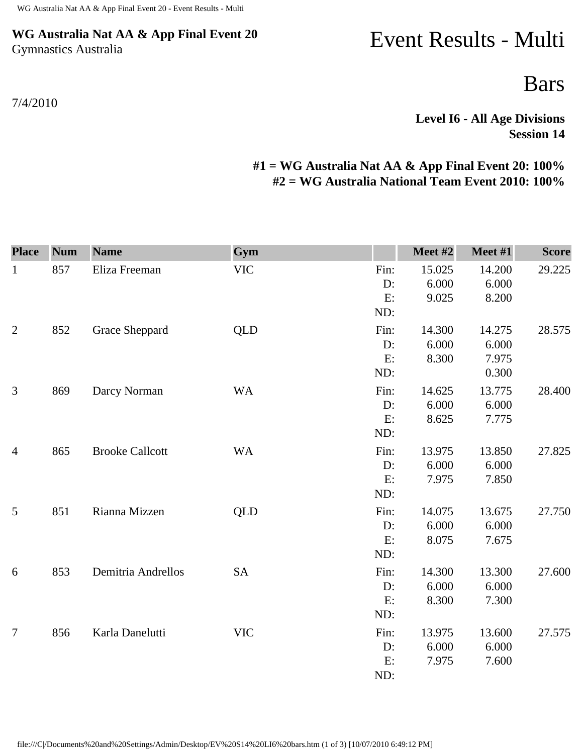## **WG Australia Nat AA & App Final Event 20** Gymnastics Australia

## 7/4/2010

## Event Results - Multi

Bars

**Level I6 - All Age Divisions Session 14** 

## **#1 = WG Australia Nat AA & App Final Event 20: 100% #2 = WG Australia National Team Event 2010: 100%**

| <b>Place</b>   | <b>Num</b> | <b>Name</b>            | Gym        |                         | Meet #2                  | Meet #1                           | <b>Score</b> |
|----------------|------------|------------------------|------------|-------------------------|--------------------------|-----------------------------------|--------------|
| $\mathbf{1}$   | 857        | Eliza Freeman          | <b>VIC</b> | Fin:<br>D:<br>E:<br>ND: | 15.025<br>6.000<br>9.025 | 14.200<br>6.000<br>8.200          | 29.225       |
| $\mathbf{2}$   | 852        | Grace Sheppard         | <b>QLD</b> | Fin:<br>D:<br>E:<br>ND: | 14.300<br>6.000<br>8.300 | 14.275<br>6.000<br>7.975<br>0.300 | 28.575       |
| 3              | 869        | Darcy Norman           | <b>WA</b>  | Fin:<br>D:<br>E:<br>ND: | 14.625<br>6.000<br>8.625 | 13.775<br>6.000<br>7.775          | 28.400       |
| $\overline{4}$ | 865        | <b>Brooke Callcott</b> | <b>WA</b>  | Fin:<br>D:<br>E:<br>ND: | 13.975<br>6.000<br>7.975 | 13.850<br>6.000<br>7.850          | 27.825       |
| 5              | 851        | Rianna Mizzen          | <b>QLD</b> | Fin:<br>D:<br>E:<br>ND: | 14.075<br>6.000<br>8.075 | 13.675<br>6.000<br>7.675          | 27.750       |
| 6              | 853        | Demitria Andrellos     | <b>SA</b>  | Fin:<br>D:<br>E:<br>ND: | 14.300<br>6.000<br>8.300 | 13.300<br>6.000<br>7.300          | 27.600       |
| $\overline{7}$ | 856        | Karla Danelutti        | <b>VIC</b> | Fin:<br>D:<br>E:<br>ND: | 13.975<br>6.000<br>7.975 | 13.600<br>6.000<br>7.600          | 27.575       |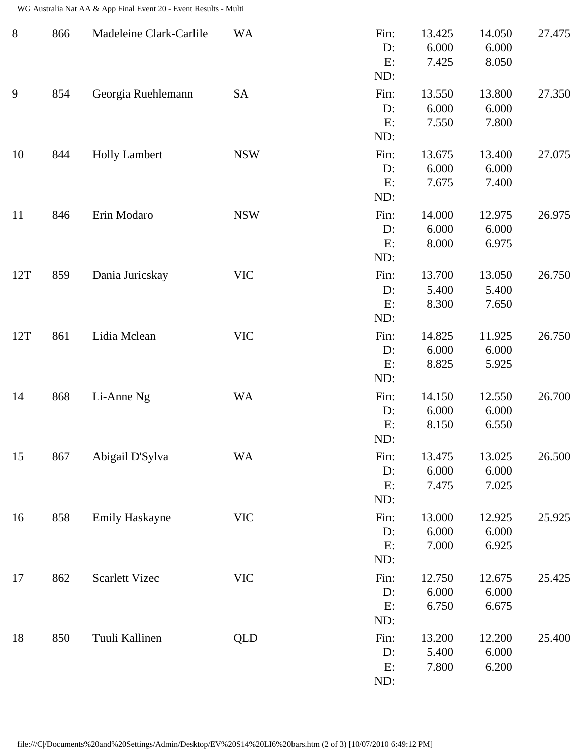WG Australia Nat AA & App Final Event 20 - Event Results - Multi

| $8\phantom{1}$ | 866 | Madeleine Clark-Carlile | <b>WA</b>  | Fin:<br>D:<br>E:<br>ND:    | 13.425<br>6.000<br>7.425 | 14.050<br>6.000<br>8.050 | 27.475 |
|----------------|-----|-------------------------|------------|----------------------------|--------------------------|--------------------------|--------|
| 9              | 854 | Georgia Ruehlemann      | <b>SA</b>  | Fin:<br>$D$ :<br>E:<br>ND: | 13.550<br>6.000<br>7.550 | 13.800<br>6.000<br>7.800 | 27.350 |
| 10             | 844 | <b>Holly Lambert</b>    | <b>NSW</b> | Fin:<br>D:<br>E:<br>ND:    | 13.675<br>6.000<br>7.675 | 13.400<br>6.000<br>7.400 | 27.075 |
| 11             | 846 | Erin Modaro             | <b>NSW</b> | Fin:<br>D:<br>E:<br>ND:    | 14.000<br>6.000<br>8.000 | 12.975<br>6.000<br>6.975 | 26.975 |
| 12T            | 859 | Dania Juricskay         | <b>VIC</b> | Fin:<br>$D$ :<br>E:<br>ND: | 13.700<br>5.400<br>8.300 | 13.050<br>5.400<br>7.650 | 26.750 |
| 12T            | 861 | Lidia Mclean            | <b>VIC</b> | Fin:<br>D:<br>E:<br>ND:    | 14.825<br>6.000<br>8.825 | 11.925<br>6.000<br>5.925 | 26.750 |
| 14             | 868 | Li-Anne Ng              | <b>WA</b>  | Fin:<br>$D$ :<br>E:<br>ND: | 14.150<br>6.000<br>8.150 | 12.550<br>6.000<br>6.550 | 26.700 |
| 15             | 867 | Abigail D'Sylva         | <b>WA</b>  | Fin:<br>D:<br>E:<br>ND:    | 13.475<br>6.000<br>7.475 | 13.025<br>6.000<br>7.025 | 26.500 |
| 16             | 858 | <b>Emily Haskayne</b>   | <b>VIC</b> | Fin:<br>D:<br>E:<br>ND:    | 13.000<br>6.000<br>7.000 | 12.925<br>6.000<br>6.925 | 25.925 |
| 17             | 862 | <b>Scarlett Vizec</b>   | <b>VIC</b> | Fin:<br>D:<br>E:<br>ND:    | 12.750<br>6.000<br>6.750 | 12.675<br>6.000<br>6.675 | 25.425 |
| 18             | 850 | Tuuli Kallinen          | <b>QLD</b> | Fin:<br>D:<br>E:<br>ND:    | 13.200<br>5.400<br>7.800 | 12.200<br>6.000<br>6.200 | 25.400 |